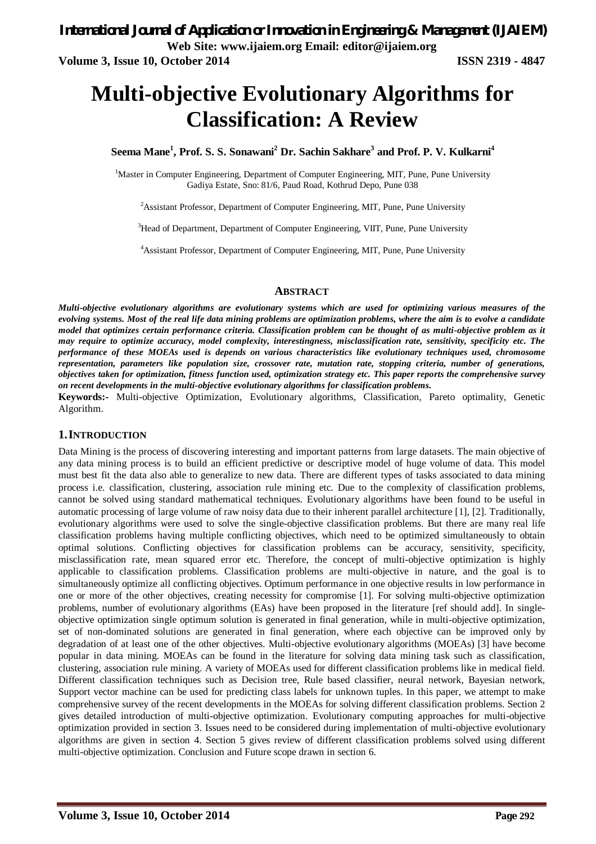# **Multi-objective Evolutionary Algorithms for Classification: A Review**

**Seema Mane<sup>1</sup> , Prof. S. S. Sonawani<sup>2</sup> Dr. Sachin Sakhare<sup>3</sup> and Prof. P. V. Kulkarni<sup>4</sup>**

<sup>1</sup>Master in Computer Engineering, Department of Computer Engineering, MIT, Pune, Pune University Gadiya Estate, Sno: 81/6, Paud Road, Kothrud Depo, Pune 038

<sup>2</sup>Assistant Professor, Department of Computer Engineering, MIT, Pune, Pune University

<sup>3</sup>Head of Department, Department of Computer Engineering, VIIT, Pune, Pune University

<sup>4</sup>Assistant Professor, Department of Computer Engineering, MIT, Pune, Pune University

#### **ABSTRACT**

*Multi-objective evolutionary algorithms are evolutionary systems which are used for optimizing various measures of the evolving systems. Most of the real life data mining problems are optimization problems, where the aim is to evolve a candidate model that optimizes certain performance criteria. Classification problem can be thought of as multi-objective problem as it may require to optimize accuracy, model complexity, interestingness, misclassification rate, sensitivity, specificity etc. The performance of these MOEAs used is depends on various characteristics like evolutionary techniques used, chromosome representation, parameters like population size, crossover rate, mutation rate, stopping criteria, number of generations, objectives taken for optimization, fitness function used, optimization strategy etc. This paper reports the comprehensive survey on recent developments in the multi-objective evolutionary algorithms for classification problems.*

**Keywords:-** Multi-objective Optimization, Evolutionary algorithms, Classification, Pareto optimality, Genetic Algorithm.

## **1.INTRODUCTION**

Data Mining is the process of discovering interesting and important patterns from large datasets. The main objective of any data mining process is to build an efficient predictive or descriptive model of huge volume of data. This model must best fit the data also able to generalize to new data. There are different types of tasks associated to data mining process i.e. classification, clustering, association rule mining etc. Due to the complexity of classification problems, cannot be solved using standard mathematical techniques. Evolutionary algorithms have been found to be useful in automatic processing of large volume of raw noisy data due to their inherent parallel architecture [1], [2]. Traditionally, evolutionary algorithms were used to solve the single-objective classification problems. But there are many real life classification problems having multiple conflicting objectives, which need to be optimized simultaneously to obtain optimal solutions. Conflicting objectives for classification problems can be accuracy, sensitivity, specificity, misclassification rate, mean squared error etc. Therefore, the concept of multi-objective optimization is highly applicable to classification problems. Classification problems are multi-objective in nature, and the goal is to simultaneously optimize all conflicting objectives. Optimum performance in one objective results in low performance in one or more of the other objectives, creating necessity for compromise [1]. For solving multi-objective optimization problems, number of evolutionary algorithms (EAs) have been proposed in the literature [ref should add]. In singleobjective optimization single optimum solution is generated in final generation, while in multi-objective optimization, set of non-dominated solutions are generated in final generation, where each objective can be improved only by degradation of at least one of the other objectives. Multi-objective evolutionary algorithms (MOEAs) [3] have become popular in data mining. MOEAs can be found in the literature for solving data mining task such as classification, clustering, association rule mining. A variety of MOEAs used for different classification problems like in medical field. Different classification techniques such as Decision tree, Rule based classifier, neural network, Bayesian network, Support vector machine can be used for predicting class labels for unknown tuples. In this paper, we attempt to make comprehensive survey of the recent developments in the MOEAs for solving different classification problems. Section 2 gives detailed introduction of multi-objective optimization. Evolutionary computing approaches for multi-objective optimization provided in section 3. Issues need to be considered during implementation of multi-objective evolutionary algorithms are given in section 4. Section 5 gives review of different classification problems solved using different multi-objective optimization. Conclusion and Future scope drawn in section 6.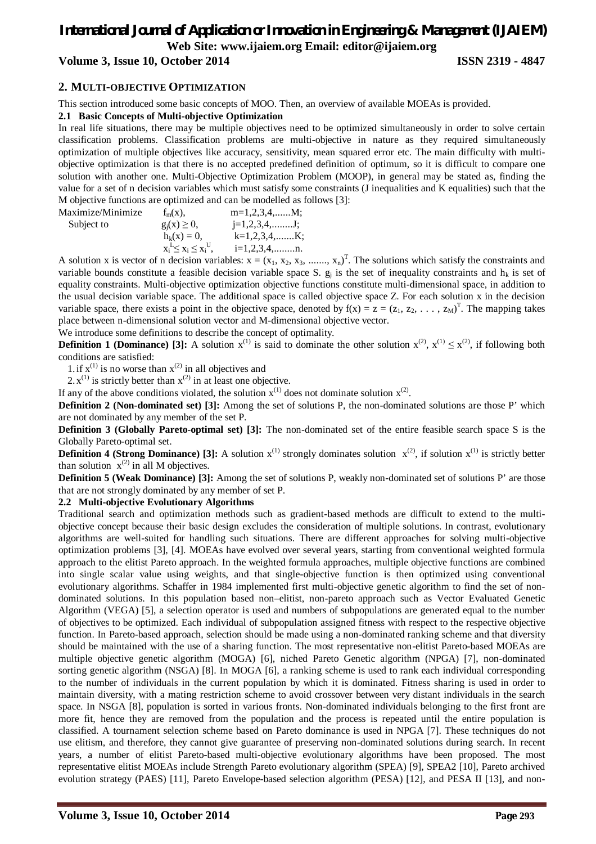# *International Journal of Application or Innovation in Engineering & Management (IJAIEM)* **Web Site: www.ijaiem.org Email: editor@ijaiem.org**

# **Volume 3, Issue 10, October 2014 ISSN 2319 - 4847**

## **2. MULTI-OBJECTIVE OPTIMIZATION**

This section introduced some basic concepts of MOO. Then, an overview of available MOEAs is provided.

#### **2.1 Basic Concepts of Multi-objective Optimization**

In real life situations, there may be multiple objectives need to be optimized simultaneously in order to solve certain classification problems. Classification problems are multi-objective in nature as they required simultaneously optimization of multiple objectives like accuracy, sensitivity, mean squared error etc. The main difficulty with multiobjective optimization is that there is no accepted predefined definition of optimum, so it is difficult to compare one solution with another one. Multi-Objective Optimization Problem (MOOP), in general may be stated as, finding the value for a set of n decision variables which must satisfy some constraints (J inequalities and K equalities) such that the M objective functions are optimized and can be modelled as follows [3]:

Maximize/Minimize  $f_m(x)$ ,  $m=1,2,3,4,...,M$ ; Subject to  $g_i(x) \ge 0$ ,  $j=1,2,3,4,......$  J;  $h_k(x) = 0,$  k=1,2,3,4,.......K; x<sup>i</sup>  $\mathbf{L} \leq \mathbf{x}_i \leq \mathbf{x}_i^{\mathrm{U}}$  $i=1,2,3,4,$ ..........n.

A solution x is vector of n decision variables:  $x = (x_1, x_2, x_3, \dots, x_n)^T$ . The solutions which satisfy the constraints and variable bounds constitute a feasible decision variable space S.  $g_j$  is the set of inequality constraints and  $h_k$  is set of equality constraints. Multi-objective optimization objective functions constitute multi-dimensional space, in addition to the usual decision variable space. The additional space is called objective space Z. For each solution x in the decision variable space, there exists a point in the objective space, denoted by  $f(x) = z = (z_1, z_2, \ldots, z_M)^T$ . The mapping takes place between n-dimensional solution vector and M-dimensional objective vector.

We introduce some definitions to describe the concept of optimality.

**Definition 1 (Dominance)** [3]: A solution  $x^{(1)}$  is said to dominate the other solution  $x^{(2)}$ ,  $x^{(1)} \le x^{(2)}$ , if following both conditions are satisfied:

1. if  $x^{(1)}$  is no worse than  $x^{(2)}$  in all objectives and

2.  $x^{(1)}$  is strictly better than  $x^{(2)}$  in at least one objective.

If any of the above conditions violated, the solution  $x^{(1)}$  does not dominate solution  $x^{(2)}$ .

**Definition 2 (Non-dominated set) [3]:** Among the set of solutions P, the non-dominated solutions are those P' which are not dominated by any member of the set P.

**Definition 3 (Globally Pareto-optimal set) [3]:** The non-dominated set of the entire feasible search space S is the Globally Pareto-optimal set.

**Definition 4 (Strong Dominance) [3]:** A solution  $x^{(1)}$  strongly dominates solution  $x^{(2)}$ , if solution  $x^{(1)}$  is strictly better than solution  $x^{(2)}$  in all M objectives.

**Definition 5 (Weak Dominance)** [3]: Among the set of solutions P, weakly non-dominated set of solutions P' are those that are not strongly dominated by any member of set P.

## **2.2 Multi-objective Evolutionary Algorithms**

Traditional search and optimization methods such as gradient-based methods are difficult to extend to the multiobjective concept because their basic design excludes the consideration of multiple solutions. In contrast, evolutionary algorithms are well-suited for handling such situations. There are different approaches for solving multi-objective optimization problems [3], [4]. MOEAs have evolved over several years, starting from conventional weighted formula approach to the elitist Pareto approach. In the weighted formula approaches, multiple objective functions are combined into single scalar value using weights, and that single-objective function is then optimized using conventional evolutionary algorithms. Schaffer in 1984 implemented first multi-objective genetic algorithm to find the set of nondominated solutions. In this population based non–elitist, non-pareto approach such as Vector Evaluated Genetic Algorithm (VEGA) [5], a selection operator is used and numbers of subpopulations are generated equal to the number of objectives to be optimized. Each individual of subpopulation assigned fitness with respect to the respective objective function. In Pareto-based approach, selection should be made using a non-dominated ranking scheme and that diversity should be maintained with the use of a sharing function. The most representative non-elitist Pareto-based MOEAs are multiple objective genetic algorithm (MOGA) [6], niched Pareto Genetic algorithm (NPGA) [7], non-dominated sorting genetic algorithm (NSGA) [8]. In MOGA [6], a ranking scheme is used to rank each individual corresponding to the number of individuals in the current population by which it is dominated. Fitness sharing is used in order to maintain diversity, with a mating restriction scheme to avoid crossover between very distant individuals in the search space. In NSGA [8], population is sorted in various fronts. Non-dominated individuals belonging to the first front are more fit, hence they are removed from the population and the process is repeated until the entire population is classified. A tournament selection scheme based on Pareto dominance is used in NPGA [7]. These techniques do not use elitism, and therefore, they cannot give guarantee of preserving non-dominated solutions during search. In recent years, a number of elitist Pareto-based multi-objective evolutionary algorithms have been proposed. The most representative elitist MOEAs include Strength Pareto evolutionary algorithm (SPEA) [9], SPEA2 [10], Pareto archived evolution strategy (PAES) [11], Pareto Envelope-based selection algorithm (PESA) [12], and PESA II [13], and non-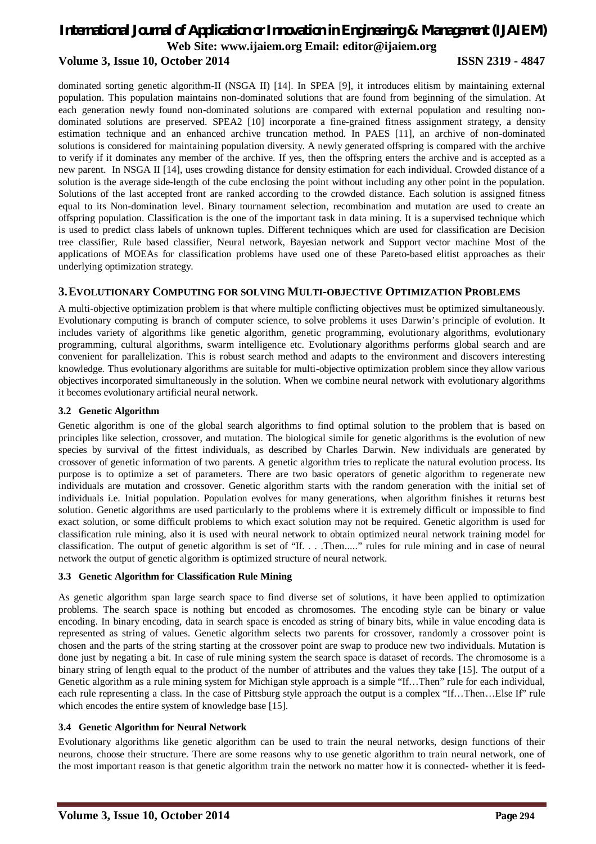# *International Journal of Application or Innovation in Engineering & Management (IJAIEM)* **Web Site: www.ijaiem.org Email: editor@ijaiem.org Volume 3, Issue 10, October 2014 ISSN 2319 - 4847**

dominated sorting genetic algorithm-II (NSGA II) [14]. In SPEA [9], it introduces elitism by maintaining external population. This population maintains non-dominated solutions that are found from beginning of the simulation. At each generation newly found non-dominated solutions are compared with external population and resulting nondominated solutions are preserved. SPEA2 [10] incorporate a fine-grained fitness assignment strategy, a density estimation technique and an enhanced archive truncation method. In PAES [11], an archive of non-dominated solutions is considered for maintaining population diversity. A newly generated offspring is compared with the archive to verify if it dominates any member of the archive. If yes, then the offspring enters the archive and is accepted as a new parent. In NSGA II [14], uses crowding distance for density estimation for each individual. Crowded distance of a solution is the average side-length of the cube enclosing the point without including any other point in the population. Solutions of the last accepted front are ranked according to the crowded distance. Each solution is assigned fitness equal to its Non-domination level. Binary tournament selection, recombination and mutation are used to create an offspring population. Classification is the one of the important task in data mining. It is a supervised technique which is used to predict class labels of unknown tuples. Different techniques which are used for classification are Decision tree classifier, Rule based classifier, Neural network, Bayesian network and Support vector machine Most of the applications of MOEAs for classification problems have used one of these Pareto-based elitist approaches as their underlying optimization strategy.

# **3.EVOLUTIONARY COMPUTING FOR SOLVING MULTI-OBJECTIVE OPTIMIZATION PROBLEMS**

A multi-objective optimization problem is that where multiple conflicting objectives must be optimized simultaneously. Evolutionary computing is branch of computer science, to solve problems it uses Darwin's principle of evolution. It includes variety of algorithms like genetic algorithm, genetic programming, evolutionary algorithms, evolutionary programming, cultural algorithms, swarm intelligence etc. Evolutionary algorithms performs global search and are convenient for parallelization. This is robust search method and adapts to the environment and discovers interesting knowledge. Thus evolutionary algorithms are suitable for multi-objective optimization problem since they allow various objectives incorporated simultaneously in the solution. When we combine neural network with evolutionary algorithms it becomes evolutionary artificial neural network.

#### **3.2 Genetic Algorithm**

Genetic algorithm is one of the global search algorithms to find optimal solution to the problem that is based on principles like selection, crossover, and mutation. The biological simile for genetic algorithms is the evolution of new species by survival of the fittest individuals, as described by Charles Darwin. New individuals are generated by crossover of genetic information of two parents. A genetic algorithm tries to replicate the natural evolution process. Its purpose is to optimize a set of parameters. There are two basic operators of genetic algorithm to regenerate new individuals are mutation and crossover. Genetic algorithm starts with the random generation with the initial set of individuals i.e. Initial population. Population evolves for many generations, when algorithm finishes it returns best solution. Genetic algorithms are used particularly to the problems where it is extremely difficult or impossible to find exact solution, or some difficult problems to which exact solution may not be required. Genetic algorithm is used for classification rule mining, also it is used with neural network to obtain optimized neural network training model for classification. The output of genetic algorithm is set of "If. . . .Then....." rules for rule mining and in case of neural network the output of genetic algorithm is optimized structure of neural network.

#### **3.3 Genetic Algorithm for Classification Rule Mining**

As genetic algorithm span large search space to find diverse set of solutions, it have been applied to optimization problems. The search space is nothing but encoded as chromosomes. The encoding style can be binary or value encoding. In binary encoding, data in search space is encoded as string of binary bits, while in value encoding data is represented as string of values. Genetic algorithm selects two parents for crossover, randomly a crossover point is chosen and the parts of the string starting at the crossover point are swap to produce new two individuals. Mutation is done just by negating a bit. In case of rule mining system the search space is dataset of records. The chromosome is a binary string of length equal to the product of the number of attributes and the values they take [15]. The output of a Genetic algorithm as a rule mining system for Michigan style approach is a simple "If...Then" rule for each individual, each rule representing a class. In the case of Pittsburg style approach the output is a complex "If…Then…Else If" rule which encodes the entire system of knowledge base [15].

## **3.4 Genetic Algorithm for Neural Network**

Evolutionary algorithms like genetic algorithm can be used to train the neural networks, design functions of their neurons, choose their structure. There are some reasons why to use genetic algorithm to train neural network, one of the most important reason is that genetic algorithm train the network no matter how it is connected- whether it is feed-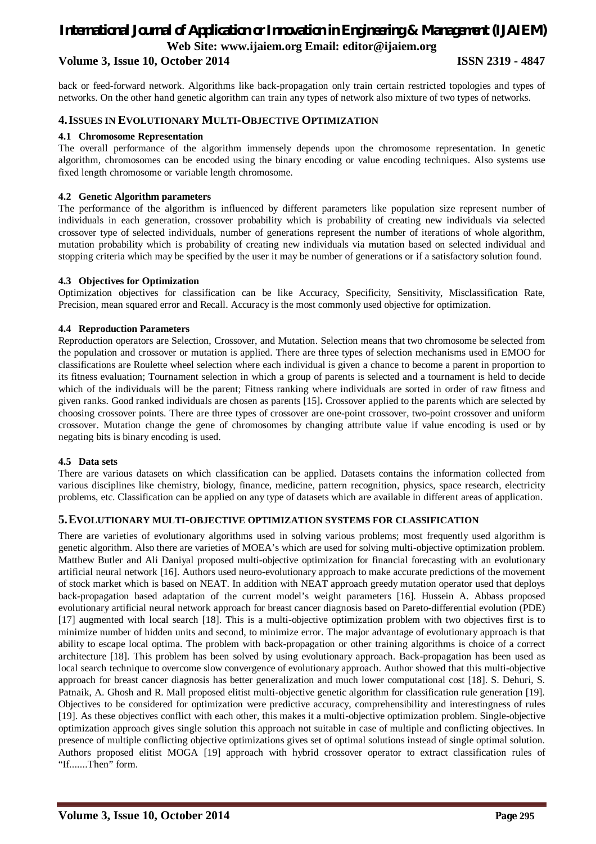# *International Journal of Application or Innovation in Engineering & Management (IJAIEM)* **Web Site: www.ijaiem.org Email: editor@ijaiem.org**

# **Volume 3, Issue 10, October 2014 ISSN 2319 - 4847**

back or feed-forward network. Algorithms like back-propagation only train certain restricted topologies and types of networks. On the other hand genetic algorithm can train any types of network also mixture of two types of networks.

# **4.ISSUES IN EVOLUTIONARY MULTI-OBJECTIVE OPTIMIZATION**

#### **4.1 Chromosome Representation**

The overall performance of the algorithm immensely depends upon the chromosome representation. In genetic algorithm, chromosomes can be encoded using the binary encoding or value encoding techniques. Also systems use fixed length chromosome or variable length chromosome.

#### **4.2 Genetic Algorithm parameters**

The performance of the algorithm is influenced by different parameters like population size represent number of individuals in each generation, crossover probability which is probability of creating new individuals via selected crossover type of selected individuals, number of generations represent the number of iterations of whole algorithm, mutation probability which is probability of creating new individuals via mutation based on selected individual and stopping criteria which may be specified by the user it may be number of generations or if a satisfactory solution found.

#### **4.3 Objectives for Optimization**

Optimization objectives for classification can be like Accuracy, Specificity, Sensitivity, Misclassification Rate, Precision, mean squared error and Recall. Accuracy is the most commonly used objective for optimization.

#### **4.4 Reproduction Parameters**

Reproduction operators are Selection, Crossover, and Mutation. Selection means that two chromosome be selected from the population and crossover or mutation is applied. There are three types of selection mechanisms used in EMOO for classifications are Roulette wheel selection where each individual is given a chance to become a parent in proportion to its fitness evaluation; Tournament selection in which a group of parents is selected and a tournament is held to decide which of the individuals will be the parent; Fitness ranking where individuals are sorted in order of raw fitness and given ranks. Good ranked individuals are chosen as parents [15]**.** Crossover applied to the parents which are selected by choosing crossover points. There are three types of crossover are one-point crossover, two-point crossover and uniform crossover. Mutation change the gene of chromosomes by changing attribute value if value encoding is used or by negating bits is binary encoding is used.

#### **4.5 Data sets**

There are various datasets on which classification can be applied. Datasets contains the information collected from various disciplines like chemistry, biology, finance, medicine, pattern recognition, physics, space research, electricity problems, etc. Classification can be applied on any type of datasets which are available in different areas of application.

#### **5.EVOLUTIONARY MULTI-OBJECTIVE OPTIMIZATION SYSTEMS FOR CLASSIFICATION**

There are varieties of evolutionary algorithms used in solving various problems; most frequently used algorithm is genetic algorithm. Also there are varieties of MOEA's which are used for solving multi-objective optimization problem. Matthew Butler and Ali Daniyal proposed multi-objective optimization for financial forecasting with an evolutionary artificial neural network [16]. Authors used neuro-evolutionary approach to make accurate predictions of the movement of stock market which is based on NEAT. In addition with NEAT approach greedy mutation operator used that deploys back-propagation based adaptation of the current model's weight parameters [16]. Hussein A. Abbass proposed evolutionary artificial neural network approach for breast cancer diagnosis based on Pareto-differential evolution (PDE) [17] augmented with local search [18]. This is a multi-objective optimization problem with two objectives first is to minimize number of hidden units and second, to minimize error. The major advantage of evolutionary approach is that ability to escape local optima. The problem with back-propagation or other training algorithms is choice of a correct architecture [18]. This problem has been solved by using evolutionary approach. Back-propagation has been used as local search technique to overcome slow convergence of evolutionary approach. Author showed that this multi-objective approach for breast cancer diagnosis has better generalization and much lower computational cost [18]. S. Dehuri, S. Patnaik, A. Ghosh and R. Mall proposed elitist multi-objective genetic algorithm for classification rule generation [19]. Objectives to be considered for optimization were predictive accuracy, comprehensibility and interestingness of rules [19]. As these objectives conflict with each other, this makes it a multi-objective optimization problem. Single-objective optimization approach gives single solution this approach not suitable in case of multiple and conflicting objectives. In presence of multiple conflicting objective optimizations gives set of optimal solutions instead of single optimal solution. Authors proposed elitist MOGA [19] approach with hybrid crossover operator to extract classification rules of "If.......Then" form.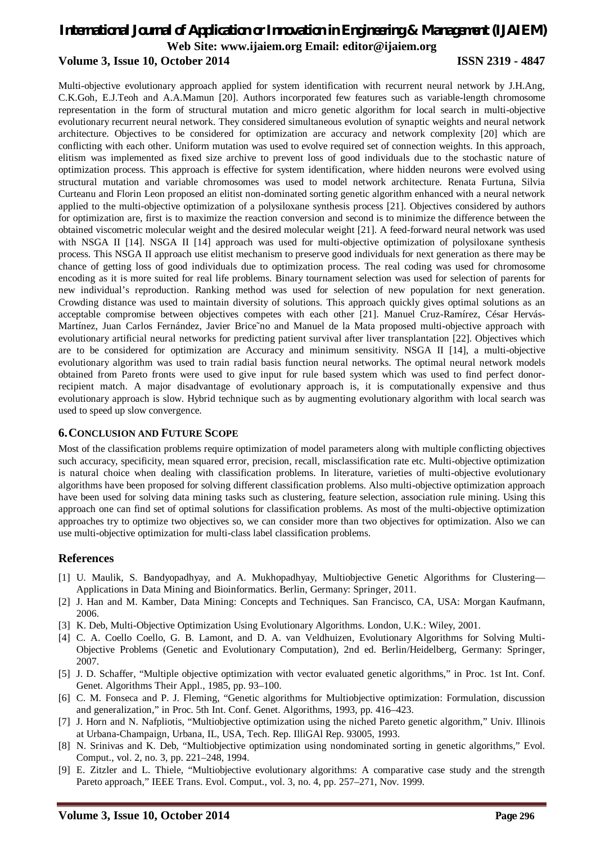# *International Journal of Application or Innovation in Engineering & Management (IJAIEM)* **Web Site: www.ijaiem.org Email: editor@ijaiem.org Volume 3, Issue 10, October 2014 ISSN 2319 - 4847**

Multi-objective evolutionary approach applied for system identification with recurrent neural network by J.H.Ang, C.K.Goh, E.J.Teoh and A.A.Mamun [20]. Authors incorporated few features such as variable-length chromosome representation in the form of structural mutation and micro genetic algorithm for local search in multi-objective evolutionary recurrent neural network. They considered simultaneous evolution of synaptic weights and neural network architecture. Objectives to be considered for optimization are accuracy and network complexity [20] which are conflicting with each other. Uniform mutation was used to evolve required set of connection weights. In this approach, elitism was implemented as fixed size archive to prevent loss of good individuals due to the stochastic nature of optimization process. This approach is effective for system identification, where hidden neurons were evolved using structural mutation and variable chromosomes was used to model network architecture. Renata Furtuna, Silvia Curteanu and Florin Leon proposed an elitist non-dominated sorting genetic algorithm enhanced with a neural network applied to the multi-objective optimization of a polysiloxane synthesis process [21]. Objectives considered by authors for optimization are, first is to maximize the reaction conversion and second is to minimize the difference between the obtained viscometric molecular weight and the desired molecular weight [21]. A feed-forward neural network was used with NSGA II [14]. NSGA II [14] approach was used for multi-objective optimization of polysiloxane synthesis process. This NSGA II approach use elitist mechanism to preserve good individuals for next generation as there may be chance of getting loss of good individuals due to optimization process. The real coding was used for chromosome encoding as it is more suited for real life problems. Binary tournament selection was used for selection of parents for new individual's reproduction. Ranking method was used for selection of new population for next generation. Crowding distance was used to maintain diversity of solutions. This approach quickly gives optimal solutions as an acceptable compromise between objectives competes with each other [21]. Manuel Cruz-Ramírez, César Hervás-Martínez, Juan Carlos Fernández, Javier Brice˜no and Manuel de la Mata proposed multi-objective approach with evolutionary artificial neural networks for predicting patient survival after liver transplantation [22]. Objectives which are to be considered for optimization are Accuracy and minimum sensitivity. NSGA II [14], a multi-objective evolutionary algorithm was used to train radial basis function neural networks. The optimal neural network models obtained from Pareto fronts were used to give input for rule based system which was used to find perfect donorrecipient match. A major disadvantage of evolutionary approach is, it is computationally expensive and thus evolutionary approach is slow. Hybrid technique such as by augmenting evolutionary algorithm with local search was used to speed up slow convergence.

## **6.CONCLUSION AND FUTURE SCOPE**

Most of the classification problems require optimization of model parameters along with multiple conflicting objectives such accuracy, specificity, mean squared error, precision, recall, misclassification rate etc. Multi-objective optimization is natural choice when dealing with classification problems. In literature, varieties of multi-objective evolutionary algorithms have been proposed for solving different classification problems. Also multi-objective optimization approach have been used for solving data mining tasks such as clustering, feature selection, association rule mining. Using this approach one can find set of optimal solutions for classification problems. As most of the multi-objective optimization approaches try to optimize two objectives so, we can consider more than two objectives for optimization. Also we can use multi-objective optimization for multi-class label classification problems.

## **References**

- [1] U. Maulik, S. Bandyopadhyay, and A. Mukhopadhyay, Multiobjective Genetic Algorithms for Clustering— Applications in Data Mining and Bioinformatics. Berlin, Germany: Springer, 2011.
- [2] J. Han and M. Kamber, Data Mining: Concepts and Techniques. San Francisco, CA, USA: Morgan Kaufmann, 2006.
- [3] K. Deb, Multi-Objective Optimization Using Evolutionary Algorithms. London, U.K.: Wiley, 2001.
- [4] C. A. Coello Coello, G. B. Lamont, and D. A. van Veldhuizen, Evolutionary Algorithms for Solving Multi-Objective Problems (Genetic and Evolutionary Computation), 2nd ed. Berlin/Heidelberg, Germany: Springer, 2007.
- [5] J. D. Schaffer, "Multiple objective optimization with vector evaluated genetic algorithms," in Proc. 1st Int. Conf. Genet. Algorithms Their Appl., 1985, pp. 93–100.
- [6] C. M. Fonseca and P. J. Fleming, "Genetic algorithms for Multiobjective optimization: Formulation, discussion and generalization," in Proc. 5th Int. Conf. Genet. Algorithms, 1993, pp. 416–423.
- [7] J. Horn and N. Nafpliotis, "Multiobjective optimization using the niched Pareto genetic algorithm," Univ. Illinois at Urbana-Champaign, Urbana, IL, USA, Tech. Rep. IlliGAl Rep. 93005, 1993.
- [8] N. Srinivas and K. Deb, "Multiobjective optimization using nondominated sorting in genetic algorithms," Evol. Comput., vol. 2, no. 3, pp. 221–248, 1994.
- [9] E. Zitzler and L. Thiele, "Multiobjective evolutionary algorithms: A comparative case study and the strength Pareto approach," IEEE Trans. Evol. Comput., vol. 3, no. 4, pp. 257–271, Nov. 1999.